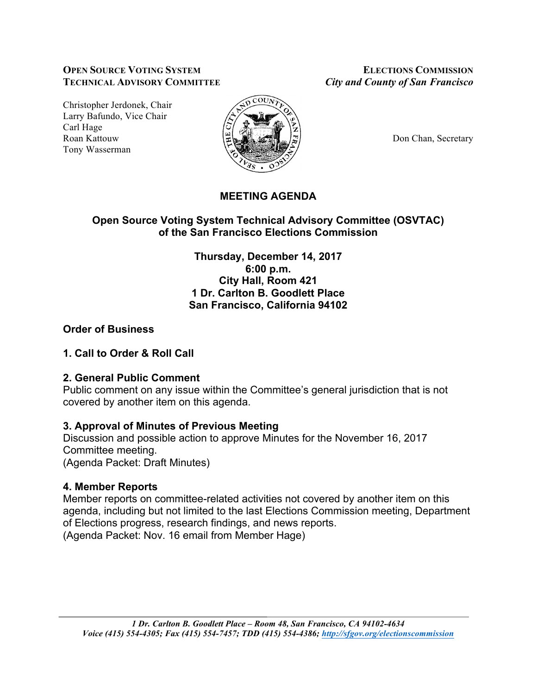#### **OPEN SOURCE VOTING SYSTEM ELECTIONS COMMISSION TECHNICAL ADVISORY COMMITTEE** *City and County of San Francisco*

Christopher Jerdonek, Chair Larry Bafundo, Vice Chair Carl Hage Roan Kattouw  $\Big|\frac{\mu}{\mu}\Big|_{\infty}$   $\Big|\frac{\mu}{\mu}\Big|_{\infty}$   $\Big|\frac{\mu}{\mu}\Big|_{\infty}$  Don Chan, Secretary Tony Wasserman



# **MEETING AGENDA**

# **Open Source Voting System Technical Advisory Committee (OSVTAC) of the San Francisco Elections Commission**

**Thursday, December 14, 2017 6:00 p.m. City Hall, Room 421 1 Dr. Carlton B. Goodlett Place San Francisco, California 94102**

# **Order of Business**

# **1. Call to Order & Roll Call**

# **2. General Public Comment**

Public comment on any issue within the Committee's general jurisdiction that is not covered by another item on this agenda.

# **3. Approval of Minutes of Previous Meeting**

Discussion and possible action to approve Minutes for the November 16, 2017 Committee meeting. (Agenda Packet: Draft Minutes)

# **4. Member Reports**

Member reports on committee-related activities not covered by another item on this agenda, including but not limited to the last Elections Commission meeting, Department of Elections progress, research findings, and news reports. (Agenda Packet: Nov. 16 email from Member Hage)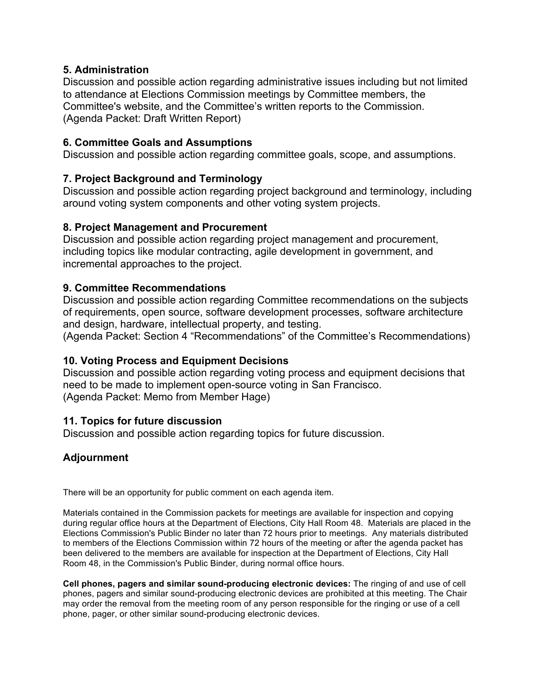### **5. Administration**

Discussion and possible action regarding administrative issues including but not limited to attendance at Elections Commission meetings by Committee members, the Committee's website, and the Committee's written reports to the Commission. (Agenda Packet: Draft Written Report)

### **6. Committee Goals and Assumptions**

Discussion and possible action regarding committee goals, scope, and assumptions.

# **7. Project Background and Terminology**

Discussion and possible action regarding project background and terminology, including around voting system components and other voting system projects.

#### **8. Project Management and Procurement**

Discussion and possible action regarding project management and procurement, including topics like modular contracting, agile development in government, and incremental approaches to the project.

### **9. Committee Recommendations**

Discussion and possible action regarding Committee recommendations on the subjects of requirements, open source, software development processes, software architecture and design, hardware, intellectual property, and testing.

(Agenda Packet: Section 4 "Recommendations" of the Committee's Recommendations)

# **10. Voting Process and Equipment Decisions**

Discussion and possible action regarding voting process and equipment decisions that need to be made to implement open-source voting in San Francisco. (Agenda Packet: Memo from Member Hage)

#### **11. Topics for future discussion**

Discussion and possible action regarding topics for future discussion.

# **Adjournment**

There will be an opportunity for public comment on each agenda item.

Materials contained in the Commission packets for meetings are available for inspection and copying during regular office hours at the Department of Elections, City Hall Room 48. Materials are placed in the Elections Commission's Public Binder no later than 72 hours prior to meetings. Any materials distributed to members of the Elections Commission within 72 hours of the meeting or after the agenda packet has been delivered to the members are available for inspection at the Department of Elections, City Hall Room 48, in the Commission's Public Binder, during normal office hours.

**Cell phones, pagers and similar sound-producing electronic devices:** The ringing of and use of cell phones, pagers and similar sound-producing electronic devices are prohibited at this meeting. The Chair may order the removal from the meeting room of any person responsible for the ringing or use of a cell phone, pager, or other similar sound-producing electronic devices.